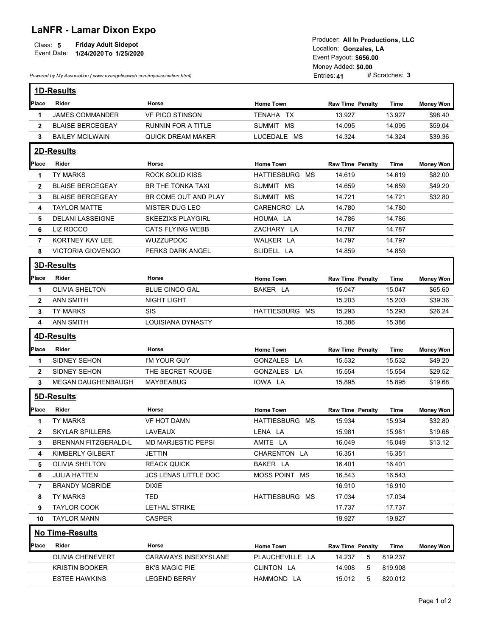## LaNFR - Lamar Dixon Expo

| Class: 5<br>Event Date: | <b>Friday Adult Sidepot</b><br>1/24/2020 To 1/25/2020                |                        |                |  |  |  |
|-------------------------|----------------------------------------------------------------------|------------------------|----------------|--|--|--|
|                         |                                                                      | Location: Gonzales. LA |                |  |  |  |
|                         |                                                                      |                        |                |  |  |  |
|                         |                                                                      |                        |                |  |  |  |
|                         |                                                                      |                        |                |  |  |  |
|                         | Powered by My Association (www.evangelineweb.com/myassociation.html) | Entries: 41            | # Scratches: 3 |  |  |  |
|                         |                                                                      |                        |                |  |  |  |

|                        | Producer: All In Productions. LLC |  |
|------------------------|-----------------------------------|--|
| Location: Gonzales, LA |                                   |  |
| Event Payout: \$656.00 |                                   |  |
| Money Added: \$0.00    |                                   |  |
| Entries: 41            | $#$ Scratches: 3                  |  |

|                   | Event Date:<br>1/24/2020 To 1/25/2020<br>Powered by My Association (www.evangelineweb.com/myassociation.html) | <b>Friday Adult Sidepot</b>                  |                         | Producer: All In Productions, LLC<br>Location: Gonzales, LA<br>Event Payout: \$656.00<br>Money Added: \$0.00<br>Entries: 41 | # Scratches: 3   |                    |
|-------------------|---------------------------------------------------------------------------------------------------------------|----------------------------------------------|-------------------------|-----------------------------------------------------------------------------------------------------------------------------|------------------|--------------------|
|                   | 1D-Results                                                                                                    |                                              |                         |                                                                                                                             |                  |                    |
| Place             | Rider                                                                                                         | Horse                                        | <b>Home Town</b>        | <b>Raw Time Penalty</b>                                                                                                     | Time             | <b>Money Won</b>   |
| $\mathbf 1$       | <b>JAMES COMMANDER</b>                                                                                        | <b>VF PICO STINSON</b>                       | TENAHA TX               | 13.927                                                                                                                      | 13.927           | \$98.40            |
| $\mathbf{2}$      | <b>BLAISE BERCEGEAY</b>                                                                                       | <b>RUNNIN FOR A TITLE</b>                    | SUMMIT MS               | 14.095                                                                                                                      | 14.095           | \$59.04            |
| $\mathbf{3}$      | <b>BAILEY MCILWAIN</b>                                                                                        | <b>QUICK DREAM MAKER</b>                     | LUCEDALE MS             | 14.324                                                                                                                      | 14.324           | \$39.36            |
|                   | 2D-Results                                                                                                    |                                              |                         |                                                                                                                             |                  |                    |
| Place             | Rider                                                                                                         | Horse                                        | <b>Home Town</b>        | Raw Time Penalty                                                                                                            | <b>Time</b>      | <b>Money Won</b>   |
| $\mathbf 1$       | TY MARKS                                                                                                      | <b>ROCK SOLID KISS</b>                       | HATTIESBURG MS          | 14.619                                                                                                                      | 14.619           | \$82.00            |
| $\mathbf{2}$      | <b>BLAISE BERCEGEAY</b>                                                                                       | BR THE TONKA TAXI                            | SUMMIT MS               | 14.659                                                                                                                      | 14.659           | \$49.20            |
| 3                 | <b>BLAISE BERCEGEAY</b>                                                                                       | BR COME OUT AND PLAY                         | SUMMIT MS               | 14.721                                                                                                                      | 14.721           | \$32.80            |
| 4<br>5            | <b>TAYLOR MATTE</b><br><b>DELANI LASSEIGNE</b>                                                                | MISTER DUG LEO<br><b>SKEEZIXS PLAYGIRL</b>   | CARENCRO LA<br>HOUMA LA | 14.780<br>14.786                                                                                                            | 14.780<br>14.786 |                    |
| 6                 | LIZ ROCCO                                                                                                     | <b>CATS FLYING WEBB</b>                      | ZACHARY LA              | 14.787                                                                                                                      | 14.787           |                    |
| $\overline{7}$    | KORTNEY KAY LEE                                                                                               | WUZZUPDOC                                    | WALKER LA               | 14.797                                                                                                                      | 14.797           |                    |
| 8                 | VICTORIA GIOVENGO                                                                                             | PERKS DARK ANGEL                             | SLIDELL LA              | 14.859                                                                                                                      | 14.859           |                    |
|                   | <b>3D-Results</b>                                                                                             |                                              |                         |                                                                                                                             |                  |                    |
|                   |                                                                                                               |                                              |                         |                                                                                                                             |                  |                    |
| Place             | Rider                                                                                                         | Horse                                        | <b>Home Town</b>        | <b>Raw Time Penalty</b>                                                                                                     | Time             | <b>Money Won</b>   |
| -1                | <b>OLIVIA SHELTON</b>                                                                                         | <b>BLUE CINCO GAL</b>                        | BAKER LA                | 15.047                                                                                                                      | 15.047           | \$65.60            |
| $\mathbf{2}$<br>3 | <b>ANN SMITH</b><br><b>TY MARKS</b>                                                                           | <b>NIGHT LIGHT</b><br>SIS                    | HATTIESBURG MS          | 15.203<br>15.293                                                                                                            | 15.203<br>15.293 | \$39.36<br>\$26.24 |
| 4                 | <b>ANN SMITH</b>                                                                                              | <b>LOUISIANA DYNASTY</b>                     |                         | 15.386                                                                                                                      | 15.386           |                    |
|                   |                                                                                                               |                                              |                         |                                                                                                                             |                  |                    |
|                   | <b>4D-Results</b>                                                                                             |                                              |                         |                                                                                                                             |                  |                    |
|                   | Place Rider                                                                                                   | Horse                                        | <b>Home Town</b>        | <b>Raw Time Penalty</b>                                                                                                     | Time             | <b>Money Won</b>   |
| $\mathbf{1}$      | SIDNEY SEHON                                                                                                  | I'M YOUR GUY                                 | GONZALES LA             | 15.532                                                                                                                      | 15.532           | \$49.20            |
| $\overline{2}$    | SIDNEY SEHON                                                                                                  | THE SECRET ROUGE                             | GONZALES LA             | 15.554                                                                                                                      | 15.554           | \$29.52            |
| 3                 | <b>MEGAN DAUGHENBAUGH</b>                                                                                     | MAYBEABUG                                    | IOWA LA                 | 15.895                                                                                                                      | 15.895           | \$19.68            |
|                   | 5D-Results                                                                                                    |                                              |                         |                                                                                                                             |                  |                    |
| Place             | Rider                                                                                                         | Horse                                        | <b>Home Town</b>        | <b>Raw Time Penalty</b>                                                                                                     | Time             | <b>Money Won</b>   |
| $\mathbf{1}$      | TY MARKS                                                                                                      | VF HOT DAMN                                  | HATTIESBURG MS          | 15.934                                                                                                                      | 15.934           | \$32.80            |
| $\overline{2}$    | <b>SKYLAR SPILLERS</b>                                                                                        | LAVEAUX                                      | LENA LA                 | 15.981                                                                                                                      | 15.981           | \$19.68            |
| 3                 | <b>BRENNAN FITZGERALD-L</b>                                                                                   | <b>MD MARJESTIC PEPSI</b>                    | AMITE LA                | 16.049                                                                                                                      | 16.049           | \$13.12            |
| 4                 | KIMBERLY GILBERT                                                                                              | <b>JETTIN</b>                                | CHARENTON LA            | 16.351                                                                                                                      | 16.351           |                    |
| 5                 | OLIVIA SHELTON                                                                                                | <b>REACK QUICK</b>                           | BAKER LA                | 16.401                                                                                                                      | 16.401           |                    |
| 6                 | <b>JULIA HATTEN</b><br><b>BRANDY MCBRIDE</b>                                                                  | JCS LENAS LITTLE DOC<br><b>DIXIE</b>         | MOSS POINT MS           | 16.543<br>16.910                                                                                                            | 16.543<br>16.910 |                    |
| 7<br>8            | TY MARKS                                                                                                      | TED                                          | HATTIESBURG MS          | 17.034                                                                                                                      | 17.034           |                    |
| 9                 | <b>TAYLOR COOK</b>                                                                                            | LETHAL STRIKE                                |                         | 17.737                                                                                                                      | 17.737           |                    |
| 10                | <b>TAYLOR MANN</b>                                                                                            | CASPER                                       |                         | 19.927                                                                                                                      | 19.927           |                    |
|                   |                                                                                                               |                                              |                         |                                                                                                                             |                  |                    |
|                   | <b>No Time-Results</b>                                                                                        |                                              |                         |                                                                                                                             |                  |                    |
| Place             | Rider                                                                                                         | Horse                                        | <b>Home Town</b>        | <b>Raw Time Penalty</b>                                                                                                     | Time             | <b>Money Won</b>   |
|                   | OLIVIA CHENEVERT                                                                                              | CARAWAYS INSEXYSLANE                         | PLAUCHEVILLE LA         | 14.237<br>$5\phantom{.0}$                                                                                                   | 819.237          |                    |
|                   |                                                                                                               |                                              | CLINTON LA              | $5\overline{)}$<br>14.908                                                                                                   | 819.908          |                    |
|                   | <b>KRISTIN BOOKER</b><br><b>ESTEE HAWKINS</b>                                                                 | <b>BK'S MAGIC PIE</b><br><b>LEGEND BERRY</b> | HAMMOND LA              | 15.012<br>5                                                                                                                 | 820.012          |                    |